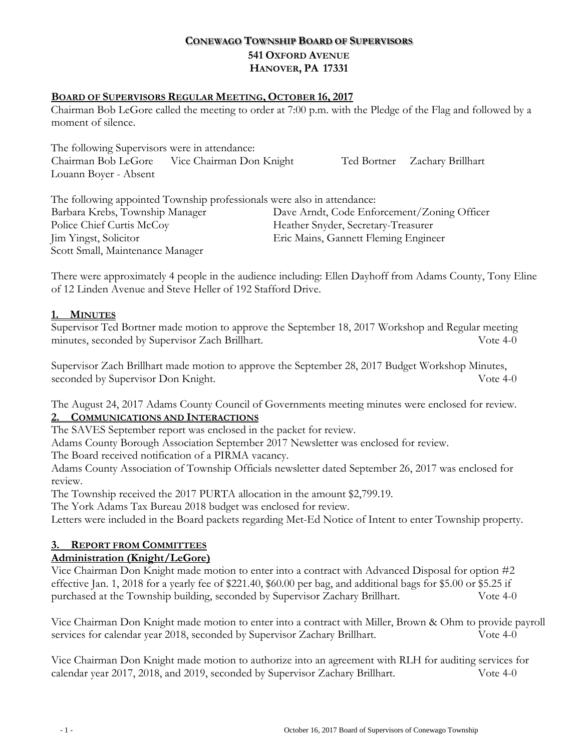# **CONEWAGO TOWNSHIP BOARD OF SUPERVISORS 541 OXFORD AVENUE HANOVER, PA 17331**

### **BOARD OF SUPERVISORS REGULAR MEETING, OCTOBER 16, 2017**

Chairman Bob LeGore called the meeting to order at 7:00 p.m. with the Pledge of the Flag and followed by a moment of silence.

The following Supervisors were in attendance: Chairman Bob LeGore Vice Chairman Don Knight Ted Bortner Zachary Brillhart Louann Boyer - Absent

The following appointed Township professionals were also in attendance: Barbara Krebs, Township Manager Dave Arndt, Code Enforcement/Zoning Officer Police Chief Curtis McCoy Theather Snyder, Secretary-Treasurer Jim Yingst, Solicitor Eric Mains, Gannett Fleming Engineer Scott Small, Maintenance Manager

There were approximately 4 people in the audience including: Ellen Dayhoff from Adams County, Tony Eline of 12 Linden Avenue and Steve Heller of 192 Stafford Drive.

### **1. MINUTES**

Supervisor Ted Bortner made motion to approve the September 18, 2017 Workshop and Regular meeting minutes, seconded by Supervisor Zach Brillhart. Vote 4-0

Supervisor Zach Brillhart made motion to approve the September 28, 2017 Budget Workshop Minutes, seconded by Supervisor Don Knight. Vote 4-0

The August 24, 2017 Adams County Council of Governments meeting minutes were enclosed for review. **2. COMMUNICATIONS AND INTERACTIONS**

The SAVES September report was enclosed in the packet for review.

Adams County Borough Association September 2017 Newsletter was enclosed for review.

The Board received notification of a PIRMA vacancy.

Adams County Association of Township Officials newsletter dated September 26, 2017 was enclosed for review.

The Township received the 2017 PURTA allocation in the amount \$2,799.19.

The York Adams Tax Bureau 2018 budget was enclosed for review.

Letters were included in the Board packets regarding Met-Ed Notice of Intent to enter Township property.

## **3. REPORT FROM COMMITTEES**

## **Administration (Knight/LeGore)**

Vice Chairman Don Knight made motion to enter into a contract with Advanced Disposal for option #2 effective Jan. 1, 2018 for a yearly fee of \$221.40, \$60.00 per bag, and additional bags for \$5.00 or \$5.25 if purchased at the Township building, seconded by Supervisor Zachary Brillhart. Vote 4-0

Vice Chairman Don Knight made motion to enter into a contract with Miller, Brown & Ohm to provide payroll services for calendar year 2018, seconded by Supervisor Zachary Brillhart. Vote 4-0

Vice Chairman Don Knight made motion to authorize into an agreement with RLH for auditing services for calendar year 2017, 2018, and 2019, seconded by Supervisor Zachary Brillhart. Vote 4-0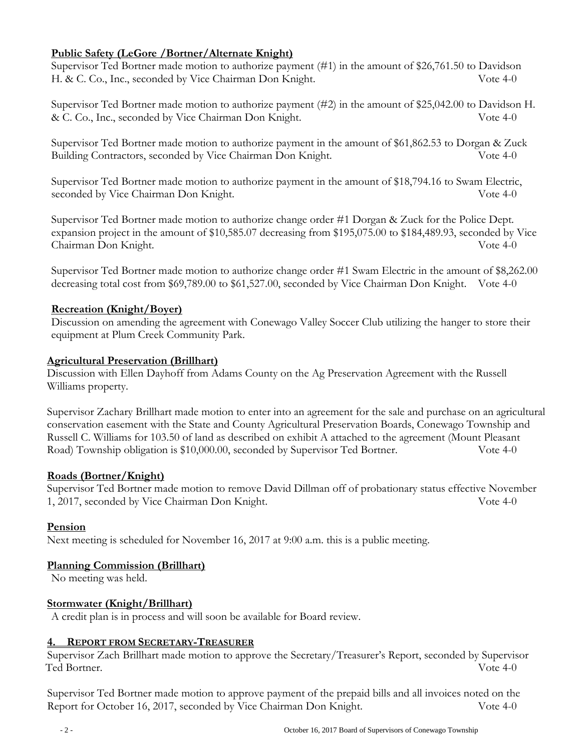## **Public Safety (LeGore /Bortner/Alternate Knight)**

Supervisor Ted Bortner made motion to authorize payment (#1) in the amount of \$26,761.50 to Davidson H. & C. Co., Inc., seconded by Vice Chairman Don Knight. Vote 4-0

Supervisor Ted Bortner made motion to authorize payment (#2) in the amount of \$25,042.00 to Davidson H. & C. Co., Inc., seconded by Vice Chairman Don Knight. Vote 4-0

Supervisor Ted Bortner made motion to authorize payment in the amount of \$61,862.53 to Dorgan & Zuck Building Contractors, seconded by Vice Chairman Don Knight. Vote 4-0

Supervisor Ted Bortner made motion to authorize payment in the amount of \$18,794.16 to Swam Electric, seconded by Vice Chairman Don Knight. Vote 4-0

Supervisor Ted Bortner made motion to authorize change order #1 Dorgan & Zuck for the Police Dept. expansion project in the amount of \$10,585.07 decreasing from \$195,075.00 to \$184,489.93, seconded by Vice Chairman Don Knight. Vote 4-0

Supervisor Ted Bortner made motion to authorize change order #1 Swam Electric in the amount of \$8,262.00 decreasing total cost from \$69,789.00 to \$61,527.00, seconded by Vice Chairman Don Knight. Vote 4-0

### **Recreation (Knight/Boyer)**

Discussion on amending the agreement with Conewago Valley Soccer Club utilizing the hanger to store their equipment at Plum Creek Community Park.

### **Agricultural Preservation (Brillhart)**

Discussion with Ellen Dayhoff from Adams County on the Ag Preservation Agreement with the Russell Williams property.

Supervisor Zachary Brillhart made motion to enter into an agreement for the sale and purchase on an agricultural conservation easement with the State and County Agricultural Preservation Boards, Conewago Township and Russell C. Williams for 103.50 of land as described on exhibit A attached to the agreement (Mount Pleasant Road) Township obligation is \$10,000.00, seconded by Supervisor Ted Bortner. Vote 4-0

## **Roads (Bortner/Knight)**

Supervisor Ted Bortner made motion to remove David Dillman off of probationary status effective November 1, 2017, seconded by Vice Chairman Don Knight. Vote 4-0

## **Pension**

Next meeting is scheduled for November 16, 2017 at 9:00 a.m. this is a public meeting.

## **Planning Commission (Brillhart)**

No meeting was held.

#### **Stormwater (Knight/Brillhart)**

A credit plan is in process and will soon be available for Board review.

#### **4. REPORT FROM SECRETARY-TREASURER**

Supervisor Zach Brillhart made motion to approve the Secretary/Treasurer's Report, seconded by Supervisor Ted Bortner. Vote 4-0

Supervisor Ted Bortner made motion to approve payment of the prepaid bills and all invoices noted on the Report for October 16, 2017, seconded by Vice Chairman Don Knight. Vote 4-0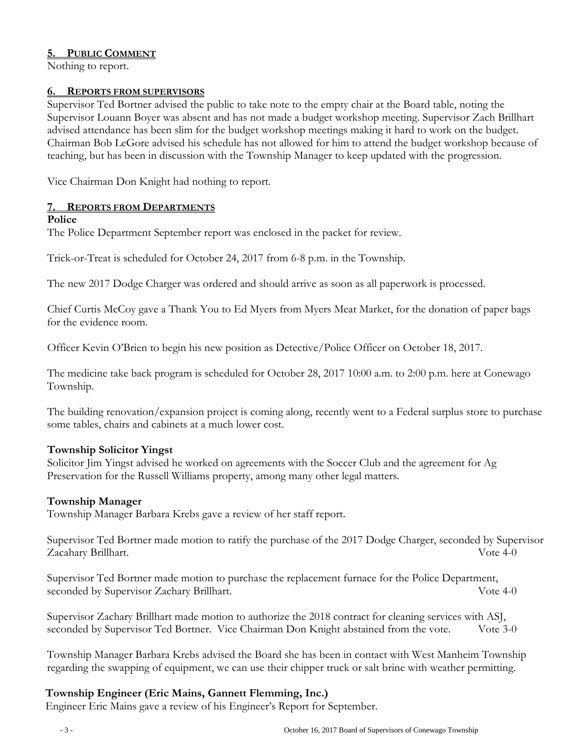### **5. PUBLIC COMMENT**

Nothing to report.

#### **6. REPORTS FROM SUPERVISORS**

Supervisor Ted Bortner advised the public to take note to the empty chair at the Board table, noting the Supervisor Louann Boyer was absent and has not made a budget workshop meeting. Supervisor Zach Brillhart advised attendance has been slim for the budget workshop meetings making it hard to work on the budget. Chairman Bob LeGore advised his schedule has not allowed for him to attend the budget workshop because of teaching, but has been in discussion with the Township Manager to keep updated with the progression.

Vice Chairman Don Knight had nothing to report.

#### **7. REPORTS FROM DEPARTMENTS**

#### **Police**

The Police Department September report was enclosed in the packet for review.

Trick-or-Treat is scheduled for October 24, 2017 from 6-8 p.m. in the Township.

The new 2017 Dodge Charger was ordered and should arrive as soon as all paperwork is processed.

Chief Curtis McCoy gave a Thank You to Ed Myers from Myers Meat Market, for the donation of paper bags for the evidence room.

Officer Kevin O'Brien to begin his new position as Detective/Police Officer on October 18, 2017.

The medicine take back program is scheduled for October 28, 2017 10:00 a.m. to 2:00 p.m. here at Conewago Township.

The building renovation/expansion project is coming along, recently went to a Federal surplus store to purchase some tables, chairs and cabinets at a much lower cost.

#### **Township Solicitor Yingst**

Solicitor Jim Yingst advised he worked on agreements with the Soccer Club and the agreement for Ag Preservation for the Russell Williams property, among many other legal matters.

#### **Township Manager**

Township Manager Barbara Krebs gave a review of her staff report.

Supervisor Ted Bortner made motion to ratify the purchase of the 2017 Dodge Charger, seconded by Supervisor Zacahary Brillhart. Vote 4-0

Supervisor Ted Bortner made motion to purchase the replacement furnace for the Police Department, seconded by Supervisor Zachary Brillhart. Vote 4-0

Supervisor Zachary Brillhart made motion to authorize the 2018 contract for cleaning services with ASJ, seconded by Supervisor Ted Bortner. Vice Chairman Don Knight abstained from the vote. Vote 3-0

Township Manager Barbara Krebs advised the Board she has been in contact with West Manheim Township regarding the swapping of equipment, we can use their chipper truck or salt brine with weather permitting.

#### **Township Engineer (Eric Mains, Gannett Flemming, Inc.)**

Engineer Eric Mains gave a review of his Engineer's Report for September.